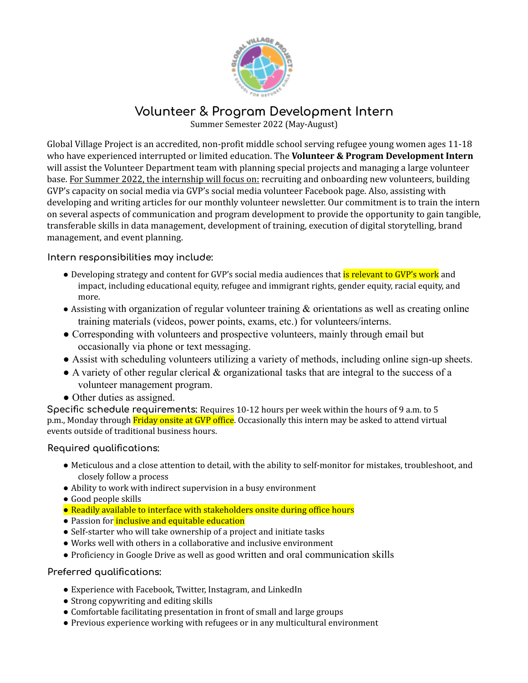

**Volunteer & Program Development Intern**

Summer Semester 2022 (May-August)

Global Village Project is an accredited, non-profit middle school serving refugee young women ages 11-18 who have experienced interrupted or limited education. The **Volunteer & Program Development Intern** will assist the Volunteer Department team with planning special projects and managing a large volunteer base. For Summer 2022, the internship will focus on: recruiting and onboarding new volunteers, building GVP's capacity on social media via GVP's social media volunteer Facebook page. Also, assisting with developing and writing articles for our monthly volunteer newsletter. Our commitment is to train the intern on several aspects of communication and program development to provide the opportunity to gain tangible, transferable skills in data management, development of training, execution of digital storytelling, brand management, and event planning.

## **Intern responsibilities may include:**

- Developing strategy and content for GVP's social media audiences that is relevant to GVP's work and impact, including educational equity, refugee and immigrant rights, gender equity, racial equity, and more.
- Assisting with organization of regular volunteer training & orientations as well as creating online training materials (videos, power points, exams, etc.) for volunteers/interns.
- Corresponding with volunteers and prospective volunteers, mainly through email but occasionally via phone or text messaging.
- Assist with scheduling volunteers utilizing a variety of methods, including online sign-up sheets.
- A variety of other regular clerical & organizational tasks that are integral to the success of a volunteer management program.
- Other duties as assigned.

**Specific schedule requirements:** Requires 10-12 hours per week within the hours of 9 a.m. to 5 p.m., Monday through Friday onsite at GVP office. Occasionally this intern may be asked to attend virtual events outside of traditional business hours.

## **Required qualifications:**

- Meticulous and a close attention to detail, with the ability to self-monitor for mistakes, troubleshoot, and closely follow a process
- Ability to work with indirect supervision in a busy environment
- Good people skills
- Readily available to interface with stakeholders onsite during office hours
- Passion for *inclusive and equitable education*
- Self-starter who will take ownership of a project and initiate tasks
- Works well with others in a collaborative and inclusive environment
- Proficiency in Google Drive as well as good written and oral communication skills

## **Preferred qualifications:**

- Experience with Facebook, Twitter, Instagram, and LinkedIn
- Strong copywriting and editing skills
- Comfortable facilitating presentation in front of small and large groups
- Previous experience working with refugees or in any multicultural environment